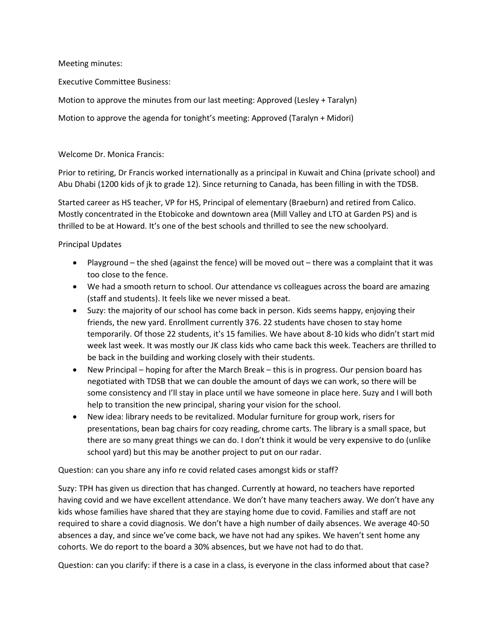Meeting minutes:

Executive Committee Business:

Motion to approve the minutes from our last meeting: Approved (Lesley + Taralyn)

Motion to approve the agenda for tonight's meeting: Approved (Taralyn + Midori)

Welcome Dr. Monica Francis:

Prior to retiring, Dr Francis worked internationally as a principal in Kuwait and China (private school) and Abu Dhabi (1200 kids of jk to grade 12). Since returning to Canada, has been filling in with the TDSB.

Started career as HS teacher, VP for HS, Principal of elementary (Braeburn) and retired from Calico. Mostly concentrated in the Etobicoke and downtown area (Mill Valley and LTO at Garden PS) and is thrilled to be at Howard. It's one of the best schools and thrilled to see the new schoolyard.

Principal Updates

- Playground the shed (against the fence) will be moved out there was a complaint that it was too close to the fence.
- We had a smooth return to school. Our attendance vs colleagues across the board are amazing (staff and students). It feels like we never missed a beat.
- Suzy: the majority of our school has come back in person. Kids seems happy, enjoying their friends, the new yard. Enrollment currently 376. 22 students have chosen to stay home temporarily. Of those 22 students, it's 15 families. We have about 8-10 kids who didn't start mid week last week. It was mostly our JK class kids who came back this week. Teachers are thrilled to be back in the building and working closely with their students.
- New Principal hoping for after the March Break this is in progress. Our pension board has negotiated with TDSB that we can double the amount of days we can work, so there will be some consistency and I'll stay in place until we have someone in place here. Suzy and I will both help to transition the new principal, sharing your vision for the school.
- New idea: library needs to be revitalized. Modular furniture for group work, risers for presentations, bean bag chairs for cozy reading, chrome carts. The library is a small space, but there are so many great things we can do. I don't think it would be very expensive to do (unlike school yard) but this may be another project to put on our radar.

Question: can you share any info re covid related cases amongst kids or staff?

Suzy: TPH has given us direction that has changed. Currently at howard, no teachers have reported having covid and we have excellent attendance. We don't have many teachers away. We don't have any kids whose families have shared that they are staying home due to covid. Families and staff are not required to share a covid diagnosis. We don't have a high number of daily absences. We average 40-50 absences a day, and since we've come back, we have not had any spikes. We haven't sent home any cohorts. We do report to the board a 30% absences, but we have not had to do that.

Question: can you clarify: if there is a case in a class, is everyone in the class informed about that case?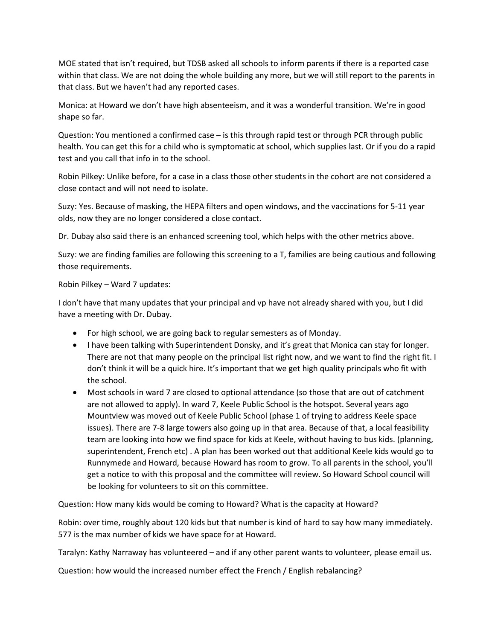MOE stated that isn't required, but TDSB asked all schools to inform parents if there is a reported case within that class. We are not doing the whole building any more, but we will still report to the parents in that class. But we haven't had any reported cases.

Monica: at Howard we don't have high absenteeism, and it was a wonderful transition. We're in good shape so far.

Question: You mentioned a confirmed case – is this through rapid test or through PCR through public health. You can get this for a child who is symptomatic at school, which supplies last. Or if you do a rapid test and you call that info in to the school.

Robin Pilkey: Unlike before, for a case in a class those other students in the cohort are not considered a close contact and will not need to isolate.

Suzy: Yes. Because of masking, the HEPA filters and open windows, and the vaccinations for 5-11 year olds, now they are no longer considered a close contact.

Dr. Dubay also said there is an enhanced screening tool, which helps with the other metrics above.

Suzy: we are finding families are following this screening to a T, families are being cautious and following those requirements.

## Robin Pilkey – Ward 7 updates:

I don't have that many updates that your principal and vp have not already shared with you, but I did have a meeting with Dr. Dubay.

- For high school, we are going back to regular semesters as of Monday.
- I have been talking with Superintendent Donsky, and it's great that Monica can stay for longer. There are not that many people on the principal list right now, and we want to find the right fit. I don't think it will be a quick hire. It's important that we get high quality principals who fit with the school.
- Most schools in ward 7 are closed to optional attendance (so those that are out of catchment are not allowed to apply). In ward 7, Keele Public School is the hotspot. Several years ago Mountview was moved out of Keele Public School (phase 1 of trying to address Keele space issues). There are 7-8 large towers also going up in that area. Because of that, a local feasibility team are looking into how we find space for kids at Keele, without having to bus kids. (planning, superintendent, French etc) . A plan has been worked out that additional Keele kids would go to Runnymede and Howard, because Howard has room to grow. To all parents in the school, you'll get a notice to with this proposal and the committee will review. So Howard School council will be looking for volunteers to sit on this committee.

Question: How many kids would be coming to Howard? What is the capacity at Howard?

Robin: over time, roughly about 120 kids but that number is kind of hard to say how many immediately. 577 is the max number of kids we have space for at Howard.

Taralyn: Kathy Narraway has volunteered – and if any other parent wants to volunteer, please email us.

Question: how would the increased number effect the French / English rebalancing?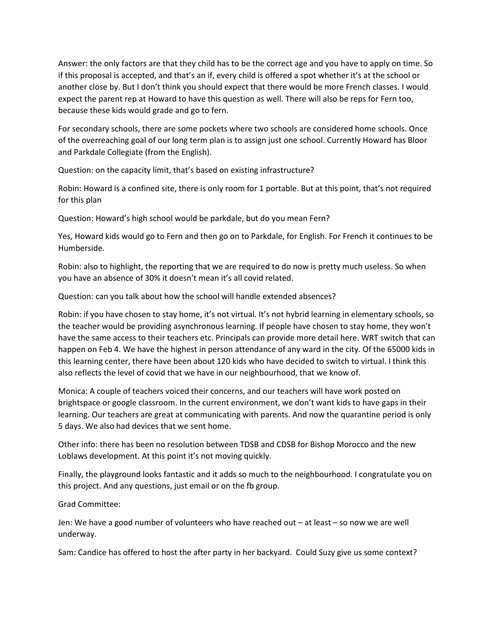Answer: the only factors are that they child has to be the correct age and you have to apply on time. So if this proposal is accepted, and that's an if, every child is offered a spot whether it's at the school or another close by. But I don't think you should expect that there would be more French classes. I would expect the parent rep at Howard to have this question as well. There will also be reps for Fern too, because these kids would grade and go to fern.

For secondary schools, there are some pockets where two schools are considered home schools. Once of the overreaching goal of our long term plan is to assign just one school. Currently Howard has Bloor and Parkdale Collegiate (from the English).

Question: on the capacity limit, that's based on existing infrastructure?

Robin: Howard is a confined site, there is only room for 1 portable. But at this point, that's not required for this plan

Question: Howard's high school would be parkdale, but do you mean Fern?

Yes, Howard kids would go to Fern and then go on to Parkdale, for English. For French it continues to be Humberside.

Robin: also to highlight, the reporting that we are required to do now is pretty much useless. So when you have an absence of 30% it doesn't mean it's all covid related.

Question: can you talk about how the school will handle extended absences?

Robin: if you have chosen to stay home, it's not virtual. It's not hybrid learning in elementary schools, so the teacher would be providing asynchronous learning. If people have chosen to stay home, they won't have the same access to their teachers etc. Principals can provide more detail here. WRT switch that can happen on Feb 4. We have the highest in person attendance of any ward in the city. Of the 65000 kids in this learning center, there have been about 120 kids who have decided to switch to virtual. I think this also reflects the level of covid that we have in our neighbourhood, that we know of.

Monica: A couple of teachers voiced their concerns, and our teachers will have work posted on brightspace or google classroom. In the current environment, we don't want kids to have gaps in their learning. Our teachers are great at communicating with parents. And now the quarantine period is only 5 days. We also had devices that we sent home.

Other info: there has been no resolution between TDSB and CDSB for Bishop Morocco and the new Loblaws development. At this point it's not moving quickly.

Finally, the playground looks fantastic and it adds so much to the neighbourhood. I congratulate you on this project. And any questions, just email or on the fb group.

Grad Committee:

Jen: We have a good number of volunteers who have reached out – at least – so now we are well underway.

Sam: Candice has offered to host the after party in her backyard. Could Suzy give us some context?